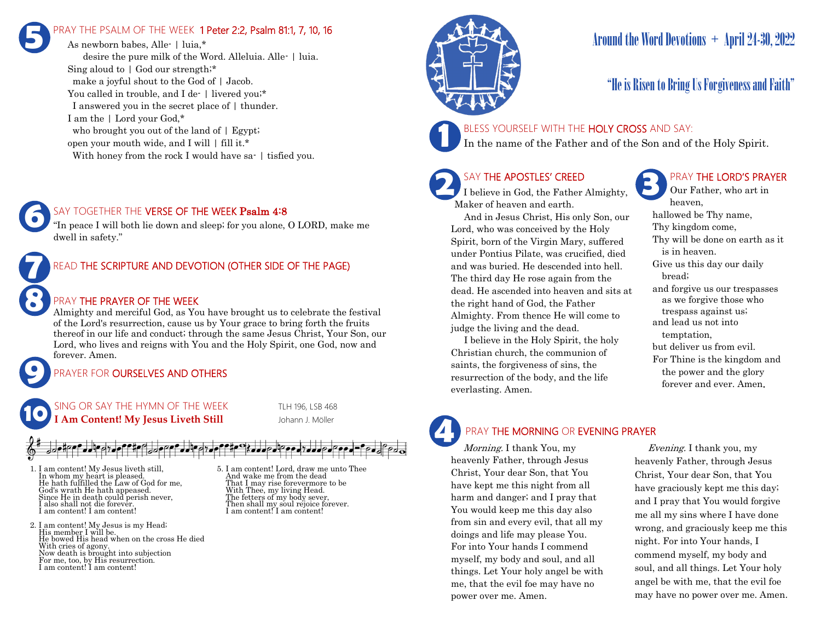# RAY THE PSALM OF THE WEEK 1 Peter 2:2, Psalm 81:1, 7, 10, 16 **5**

As newborn babes, Alle- | luia,\* desire the pure milk of the Word. Alleluia. Alle- | luia. Sing aloud to | God our strength;\* make a joyful shout to the God of | Jacob. You called in trouble, and I de- | livered you;\* I answered you in the secret place of | thunder. I am the | Lord your God,\* who brought you out of the land of  $\mid$  Egypt; open your mouth wide, and I will | fill it.\* With honey from the rock I would have sa- | tisfied you.



"In peace I will both lie down and sleep; for you alone, O LORD, make me dwell in safety."



## PRAY THE PRAYER OF THE WEEK

Almighty and merciful God, as You have brought us to celebrate the festival of the Lord's resurrection, cause us by Your grace to bring forth the fruits thereof in our life and conduct; through the same Jesus Christ, Your Son, our Lord, who lives and reigns with You and the Holy Spirit, one God, now and forever. Amen.

# PRAYER FOR **OURSELVES AND OTHERS**



**9**

**8**

**6**

- 1. I am content! My Jesus liveth still, In whom my heart is pleased. He hath fulfilled the Law of God for me, God's wrath He hath appeased. Since He in death could perish never. I also shall not die forever. I am content! I am content!
- 2. I am content! My Jesus is my Head; His member I will be. He bowed His head when on the cross He died With cries of agony. Now death is brought into subjection For me, too, by His resurrection. I am content! I am content!

5. I am content! Lord, draw me unto Thee And wake me from the dead That I may rise forevermore to be With Thee, my living Head. The fetters of my body sever, Then shall my soul rejoice forever. I am content! I am content!



# Around the Word Devotions + April 24-30, 2022

# "He is Risen to Bring Us Forgiveness and Faith"

### BLESS YOURSELF WITH THE HOLY CROSS AND SAY:

In the name of the Father and of the Son and of the Holy Spirit.

### SAY THE APOSTLES' CREED

**2 SAY THE APOSTLES' CREED I** believe in God, the Father Almighty, Maker of heaven and earth.

 And in Jesus Christ, His only Son, our Lord, who was conceived by the Holy Spirit, born of the Virgin Mary, suffered under Pontius Pilate, was crucified, died and was buried. He descended into hell. The third day He rose again from the dead. He ascended into heaven and sits at the right hand of God, the Father Almighty. From thence He will come to judge the living and the dead.

 I believe in the Holy Spirit, the holy Christian church, the communion of saints, the forgiveness of sins, the resurrection of the body, and the life everlasting. Amen.

# PRAY THE LORD'S PRAYER

Our Father, who art in heaven, hallowed be Thy name, Thy kingdom come, Thy will be done on earth as it is in heaven. Give us this day our daily bread; and forgive us our trespasses as we forgive those who trespass against us; and lead us not into temptation, but deliver us from evil. For Thine is the kingdom and the power and the glory forever and ever. Amen.

# PRAY THE MORNING OR EVENING PRAYER

Morning. I thank You, my heavenly Father, through Jesus Christ, Your dear Son, that You have kept me this night from all harm and danger; and I pray that You would keep me this day also from sin and every evil, that all my doings and life may please You. For into Your hands I commend myself, my body and soul, and all things. Let Your holy angel be with me, that the evil foe may have no power over me. Amen. **4**

 Evening. I thank you, my heavenly Father, through Jesus Christ, Your dear Son, that You have graciously kept me this day; and I pray that You would forgive me all my sins where I have done wrong, and graciously keep me this night. For into Your hands, I commend myself, my body and soul, and all things. Let Your holy angel be with me, that the evil foe may have no power over me. Amen.